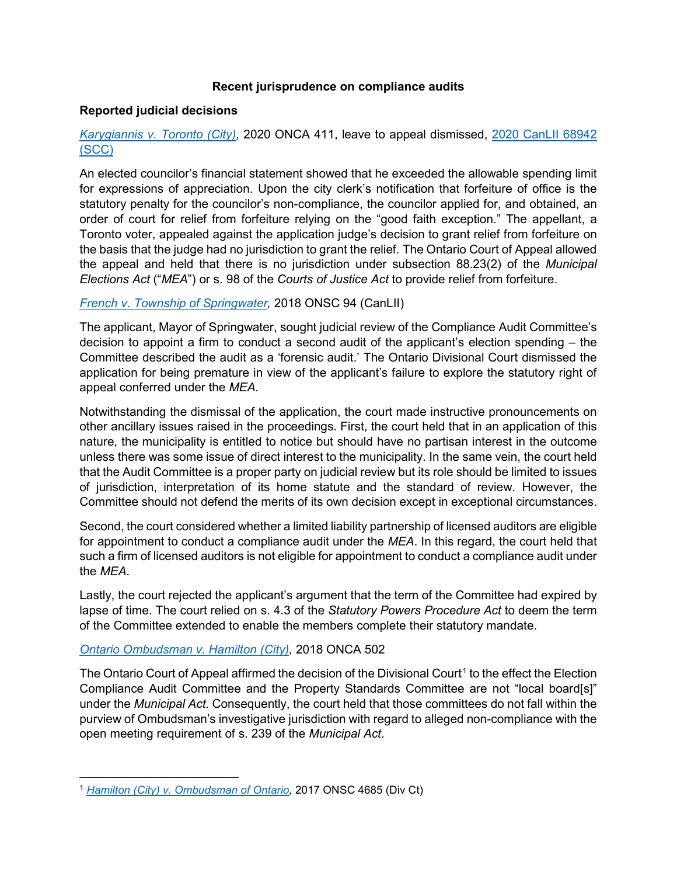## **Recent jurisprudence on compliance audits**

#### **Reported judicial decisions**

# *Karygiannis v. Toronto (City),* 2020 ONCA 411, leave to appeal dismissed, 2020 CanLII 68942 (SCC)

An elected councilor's financial statement showed that he exceeded the allowable spending limit for expressions of appreciation. Upon the city clerk's notification that forfeiture of office is the statutory penalty for the councilor's non-compliance, the councilor applied for, and obtained, an order of court for relief from forfeiture relying on the "good faith exception." The appellant, a Toronto voter, appealed against the application judge's decision to grant relief from forfeiture on the basis that the judge had no jurisdiction to grant the relief*.* The Ontario Court of Appeal allowed the appeal and held that there is no jurisdiction under subsection 88.23(2) of the *Municipal Elections Act* ("*MEA*") or s. 98 of the *Courts of Justice Act* to provide relief from forfeiture.

## *French v. Township of Springwater,* 2018 ONSC 94 (CanLII)

The applicant, Mayor of Springwater, sought judicial review of the Compliance Audit Committee's decision to appoint a firm to conduct a second audit of the applicant's election spending – the Committee described the audit as a 'forensic audit.' The Ontario Divisional Court dismissed the application for being premature in view of the applicant's failure to explore the statutory right of appeal conferred under the *MEA*.

Notwithstanding the dismissal of the application, the court made instructive pronouncements on other ancillary issues raised in the proceedings. First, the court held that in an application of this nature, the municipality is entitled to notice but should have no partisan interest in the outcome unless there was some issue of direct interest to the municipality. In the same vein, the court held that the Audit Committee is a proper party on judicial review but its role should be limited to issues of jurisdiction, interpretation of its home statute and the standard of review. However, the Committee should not defend the merits of its own decision except in exceptional circumstances.

Second, the court considered whether a limited liability partnership of licensed auditors are eligible for appointment to conduct a compliance audit under the *MEA*. In this regard, the court held that such a firm of licensed auditors is not eligible for appointment to conduct a compliance audit under the *MEA*.

Lastly, the court rejected the applicant's argument that the term of the Committee had expired by lapse of time. The court relied on s. 4.3 of the *Statutory Powers Procedure Act* to deem the term of the Committee extended to enable the members complete their statutory mandate.

## *Ontario Ombudsman v. Hamilton (City),* 2018 ONCA 502

The Ontario Court of Appeal affirmed the decision of the Divisional Court<sup>1</sup> to the effect the Election Compliance Audit Committee and the Property Standards Committee are not "local board[s]" under the *Municipal Act.* Consequently, the court held that those committees do not fall within the purview of Ombudsman's investigative jurisdiction with regard to alleged non-compliance with the open meeting requirement of s. 239 of the *Municipal Act*.

l <sup>1</sup> *Hamilton (City) v. Ombudsman of Ontario,* 2017 ONSC 4685 (Div Ct)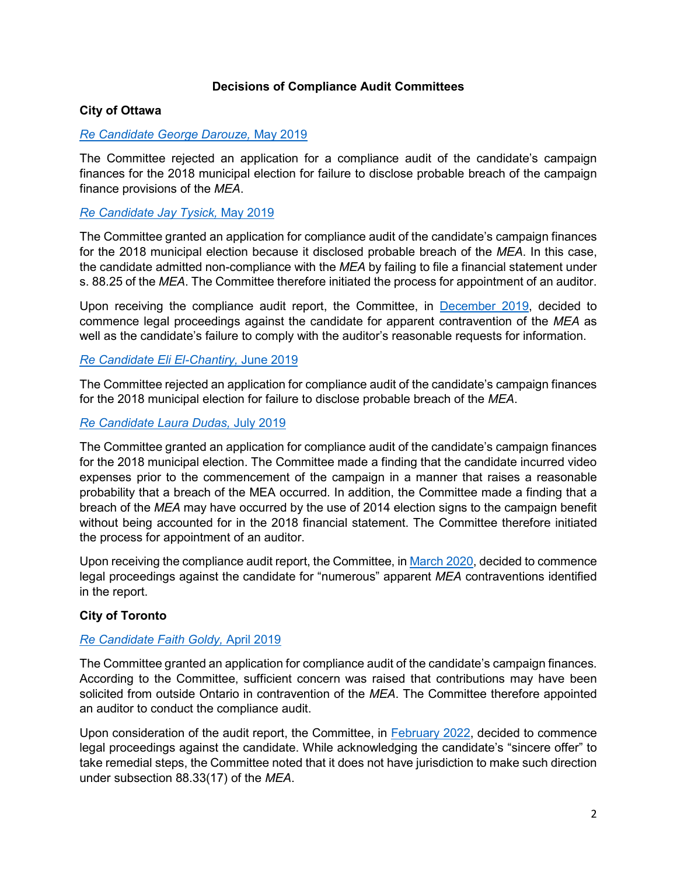## **Decisions of Compliance Audit Committees**

### **City of Ottawa**

#### *Re Candidate George Darouze,* May 2019

The Committee rejected an application for a compliance audit of the candidate's campaign finances for the 2018 municipal election for failure to disclose probable breach of the campaign finance provisions of the *MEA*.

### *Re Candidate Jay Tysick,* May 2019

The Committee granted an application for compliance audit of the candidate's campaign finances for the 2018 municipal election because it disclosed probable breach of the *MEA*. In this case, the candidate admitted non-compliance with the *MEA* by failing to file a financial statement under s. 88.25 of the *MEA*. The Committee therefore initiated the process for appointment of an auditor.

Upon receiving the compliance audit report, the Committee, in December 2019, decided to commence legal proceedings against the candidate for apparent contravention of the *MEA* as well as the candidate's failure to comply with the auditor's reasonable requests for information.

#### *Re Candidate Eli El-Chantiry,* June 2019

The Committee rejected an application for compliance audit of the candidate's campaign finances for the 2018 municipal election for failure to disclose probable breach of the *MEA*.

#### *Re Candidate Laura Dudas,* July 2019

The Committee granted an application for compliance audit of the candidate's campaign finances for the 2018 municipal election. The Committee made a finding that the candidate incurred video expenses prior to the commencement of the campaign in a manner that raises a reasonable probability that a breach of the MEA occurred. In addition, the Committee made a finding that a breach of the *MEA* may have occurred by the use of 2014 election signs to the campaign benefit without being accounted for in the 2018 financial statement. The Committee therefore initiated the process for appointment of an auditor.

Upon receiving the compliance audit report, the Committee, in March 2020, decided to commence legal proceedings against the candidate for "numerous" apparent *MEA* contraventions identified in the report.

## **City of Toronto**

#### *Re Candidate Faith Goldy,* April 2019

The Committee granted an application for compliance audit of the candidate's campaign finances. According to the Committee, sufficient concern was raised that contributions may have been solicited from outside Ontario in contravention of the *MEA*. The Committee therefore appointed an auditor to conduct the compliance audit.

Upon consideration of the audit report, the Committee, in **February 2022**, decided to commence legal proceedings against the candidate. While acknowledging the candidate's "sincere offer" to take remedial steps, the Committee noted that it does not have jurisdiction to make such direction under subsection 88.33(17) of the *MEA*.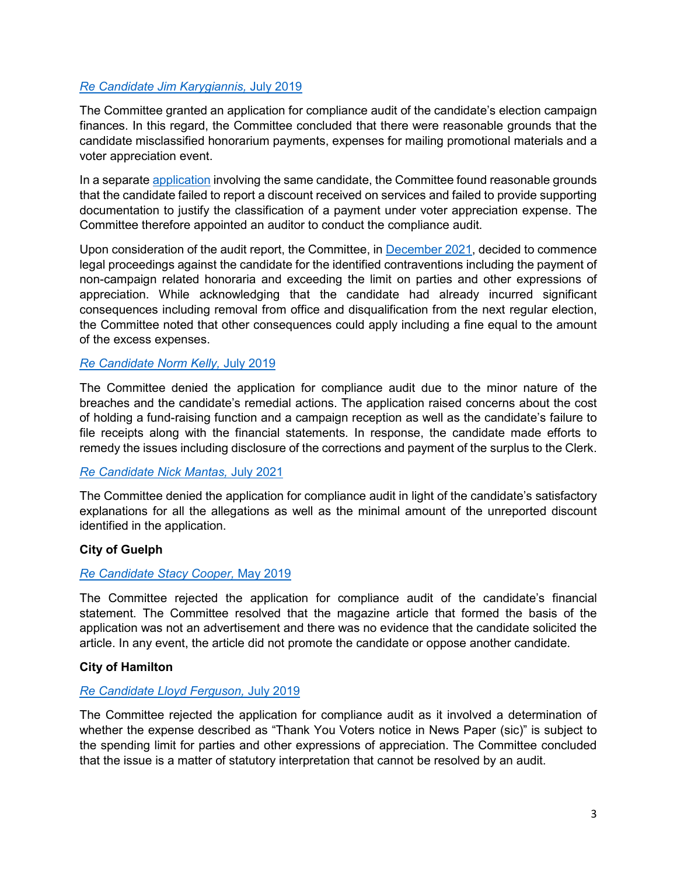## *Re Candidate Jim Karygiannis,* July 2019

The Committee granted an application for compliance audit of the candidate's election campaign finances. In this regard, the Committee concluded that there were reasonable grounds that the candidate misclassified honorarium payments, expenses for mailing promotional materials and a voter appreciation event.

In a separate application involving the same candidate, the Committee found reasonable grounds that the candidate failed to report a discount received on services and failed to provide supporting documentation to justify the classification of a payment under voter appreciation expense. The Committee therefore appointed an auditor to conduct the compliance audit.

Upon consideration of the audit report, the Committee, in **December 2021**, decided to commence legal proceedings against the candidate for the identified contraventions including the payment of non-campaign related honoraria and exceeding the limit on parties and other expressions of appreciation. While acknowledging that the candidate had already incurred significant consequences including removal from office and disqualification from the next regular election, the Committee noted that other consequences could apply including a fine equal to the amount of the excess expenses.

# *Re Candidate Norm Kelly,* July 2019

The Committee denied the application for compliance audit due to the minor nature of the breaches and the candidate's remedial actions. The application raised concerns about the cost of holding a fund-raising function and a campaign reception as well as the candidate's failure to file receipts along with the financial statements. In response, the candidate made efforts to remedy the issues including disclosure of the corrections and payment of the surplus to the Clerk.

## *Re Candidate Nick Mantas,* July 2021

The Committee denied the application for compliance audit in light of the candidate's satisfactory explanations for all the allegations as well as the minimal amount of the unreported discount identified in the application.

## **City of Guelph**

## *Re Candidate Stacy Cooper,* May 2019

The Committee rejected the application for compliance audit of the candidate's financial statement. The Committee resolved that the magazine article that formed the basis of the application was not an advertisement and there was no evidence that the candidate solicited the article. In any event, the article did not promote the candidate or oppose another candidate.

## **City of Hamilton**

## *Re Candidate Lloyd Ferguson,* July 2019

The Committee rejected the application for compliance audit as it involved a determination of whether the expense described as "Thank You Voters notice in News Paper (sic)" is subject to the spending limit for parties and other expressions of appreciation. The Committee concluded that the issue is a matter of statutory interpretation that cannot be resolved by an audit.